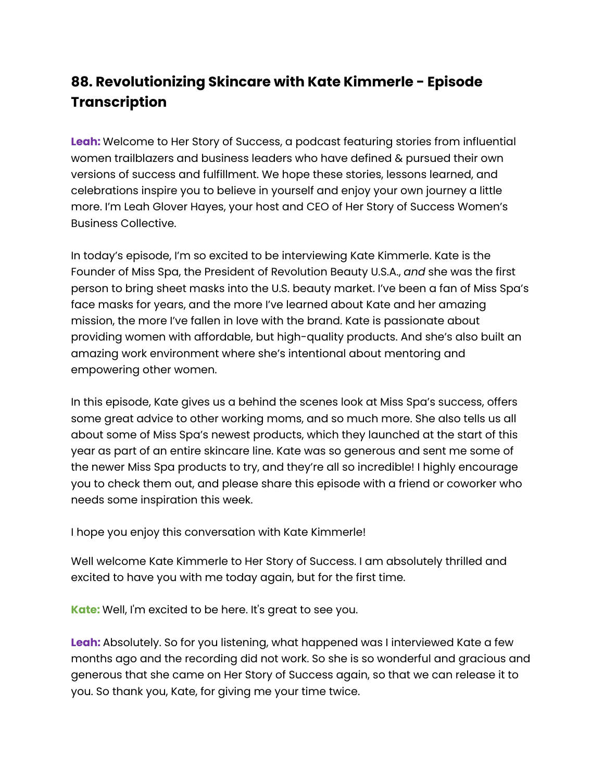# **88. Revolutionizing Skincare with Kate Kimmerle - Episode Transcription**

**Leah:** Welcome to Her Story of Success, a podcast featuring stories from influential women trailblazers and business leaders who have defined & pursued their own versions of success and fulfillment. We hope these stories, lessons learned, and celebrations inspire you to believe in yourself and enjoy your own journey a little more. I'm Leah Glover Hayes, your host and CEO of Her Story of Success Women's Business Collective.

In today's episode, I'm so excited to be interviewing Kate Kimmerle. Kate is the Founder of Miss Spa, the President of Revolution Beauty U.S.A., *and* she was the first person to bring sheet masks into the U.S. beauty market. I've been a fan of Miss Spa's face masks for years, and the more I've learned about Kate and her amazing mission, the more I've fallen in love with the brand. Kate is passionate about providing women with affordable, but high-quality products. And she's also built an amazing work environment where she's intentional about mentoring and empowering other women.

In this episode, Kate gives us a behind the scenes look at Miss Spa's success, offers some great advice to other working moms, and so much more. She also tells us all about some of Miss Spa's newest products, which they launched at the start of this year as part of an entire skincare line. Kate was so generous and sent me some of the newer Miss Spa products to try, and they're all so incredible! I highly encourage you to check them out, and please share this episode with a friend or coworker who needs some inspiration this week.

I hope you enjoy this conversation with Kate Kimmerle!

Well welcome Kate Kimmerle to Her Story of Success. I am absolutely thrilled and excited to have you with me today again, but for the first time.

**Kate:** Well, I'm excited to be here. It's great to see you.

**Leah:** Absolutely. So for you listening, what happened was I interviewed Kate a few months ago and the recording did not work. So she is so wonderful and gracious and generous that she came on Her Story of Success again, so that we can release it to you. So thank you, Kate, for giving me your time twice.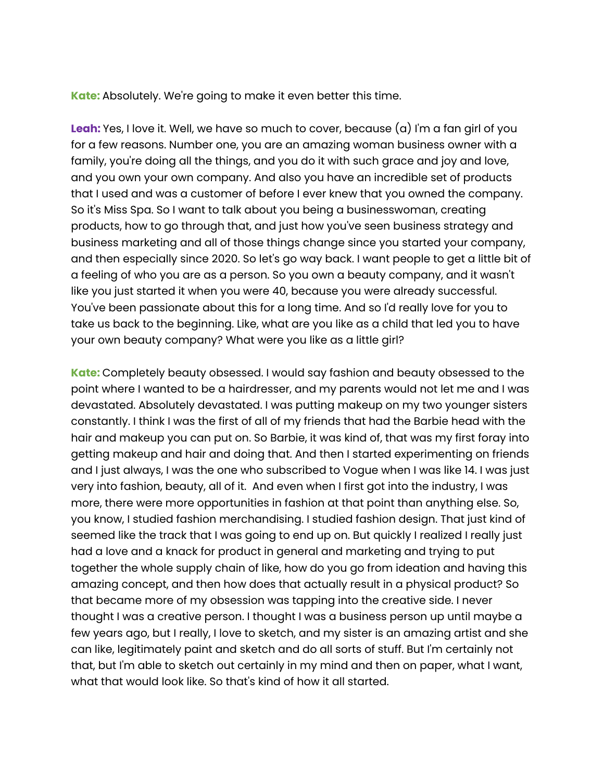**Kate:** Absolutely. We're going to make it even better this time.

**Leah:** Yes, I love it. Well, we have so much to cover, because (a) I'm a fan girl of you for a few reasons. Number one, you are an amazing woman business owner with a family, you're doing all the things, and you do it with such grace and joy and love, and you own your own company. And also you have an incredible set of products that I used and was a customer of before I ever knew that you owned the company. So it's Miss Spa. So I want to talk about you being a businesswoman, creating products, how to go through that, and just how you've seen business strategy and business marketing and all of those things change since you started your company, and then especially since 2020. So let's go way back. I want people to get a little bit of a feeling of who you are as a person. So you own a beauty company, and it wasn't like you just started it when you were 40, because you were already successful. You've been passionate about this for a long time. And so I'd really love for you to take us back to the beginning. Like, what are you like as a child that led you to have your own beauty company? What were you like as a little girl?

**Kate:** Completely beauty obsessed. I would say fashion and beauty obsessed to the point where I wanted to be a hairdresser, and my parents would not let me and I was devastated. Absolutely devastated. I was putting makeup on my two younger sisters constantly. I think I was the first of all of my friends that had the Barbie head with the hair and makeup you can put on. So Barbie, it was kind of, that was my first foray into getting makeup and hair and doing that. And then I started experimenting on friends and I just always, I was the one who subscribed to Vogue when I was like 14. I was just very into fashion, beauty, all of it. And even when I first got into the industry, I was more, there were more opportunities in fashion at that point than anything else. So, you know, I studied fashion merchandising. I studied fashion design. That just kind of seemed like the track that I was going to end up on. But quickly I realized I really just had a love and a knack for product in general and marketing and trying to put together the whole supply chain of like, how do you go from ideation and having this amazing concept, and then how does that actually result in a physical product? So that became more of my obsession was tapping into the creative side. I never thought I was a creative person. I thought I was a business person up until maybe a few years ago, but I really, I love to sketch, and my sister is an amazing artist and she can like, legitimately paint and sketch and do all sorts of stuff. But I'm certainly not that, but I'm able to sketch out certainly in my mind and then on paper, what I want, what that would look like. So that's kind of how it all started.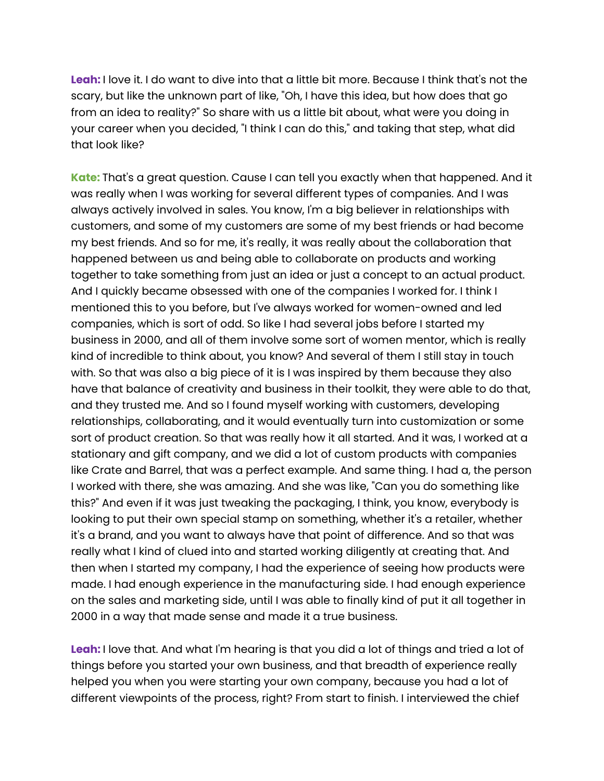**Leah:** I love it. I do want to dive into that a little bit more. Because I think that's not the scary, but like the unknown part of like, "Oh, I have this idea, but how does that go from an idea to reality?" So share with us a little bit about, what were you doing in your career when you decided, "I think I can do this," and taking that step, what did that look like?

**Kate:** That's a great question. Cause I can tell you exactly when that happened. And it was really when I was working for several different types of companies. And I was always actively involved in sales. You know, I'm a big believer in relationships with customers, and some of my customers are some of my best friends or had become my best friends. And so for me, it's really, it was really about the collaboration that happened between us and being able to collaborate on products and working together to take something from just an idea or just a concept to an actual product. And I quickly became obsessed with one of the companies I worked for. I think I mentioned this to you before, but I've always worked for women-owned and led companies, which is sort of odd. So like I had several jobs before I started my business in 2000, and all of them involve some sort of women mentor, which is really kind of incredible to think about, you know? And several of them I still stay in touch with. So that was also a big piece of it is I was inspired by them because they also have that balance of creativity and business in their toolkit, they were able to do that, and they trusted me. And so I found myself working with customers, developing relationships, collaborating, and it would eventually turn into customization or some sort of product creation. So that was really how it all started. And it was, I worked at a stationary and gift company, and we did a lot of custom products with companies like Crate and Barrel, that was a perfect example. And same thing. I had a, the person I worked with there, she was amazing. And she was like, "Can you do something like this?" And even if it was just tweaking the packaging, I think, you know, everybody is looking to put their own special stamp on something, whether it's a retailer, whether it's a brand, and you want to always have that point of difference. And so that was really what I kind of clued into and started working diligently at creating that. And then when I started my company, I had the experience of seeing how products were made. I had enough experience in the manufacturing side. I had enough experience on the sales and marketing side, until I was able to finally kind of put it all together in 2000 in a way that made sense and made it a true business.

**Leah:** I love that. And what I'm hearing is that you did a lot of things and tried a lot of things before you started your own business, and that breadth of experience really helped you when you were starting your own company, because you had a lot of different viewpoints of the process, right? From start to finish. I interviewed the chief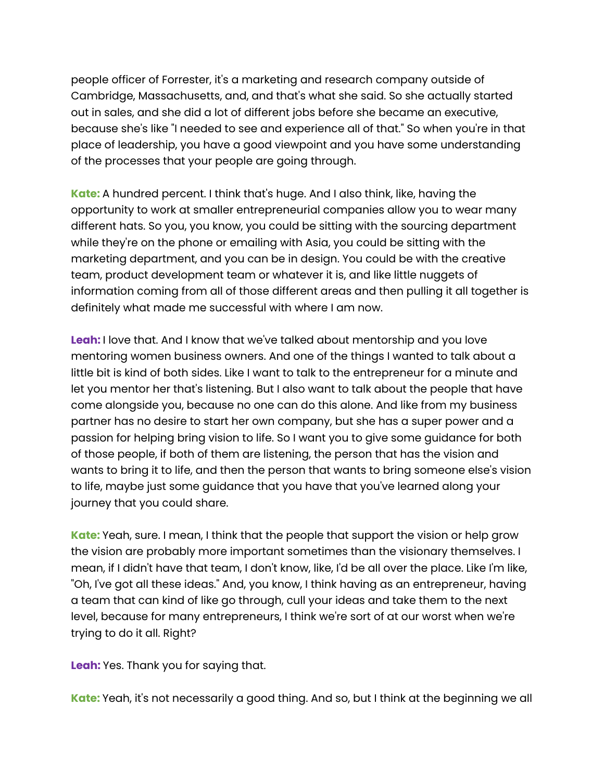people officer of Forrester, it's a marketing and research company outside of Cambridge, Massachusetts, and, and that's what she said. So she actually started out in sales, and she did a lot of different jobs before she became an executive, because she's like "I needed to see and experience all of that." So when you're in that place of leadership, you have a good viewpoint and you have some understanding of the processes that your people are going through.

**Kate:** A hundred percent. I think that's huge. And I also think, like, having the opportunity to work at smaller entrepreneurial companies allow you to wear many different hats. So you, you know, you could be sitting with the sourcing department while they're on the phone or emailing with Asia, you could be sitting with the marketing department, and you can be in design. You could be with the creative team, product development team or whatever it is, and like little nuggets of information coming from all of those different areas and then pulling it all together is definitely what made me successful with where I am now.

**Leah:** I love that. And I know that we've talked about mentorship and you love mentoring women business owners. And one of the things I wanted to talk about a little bit is kind of both sides. Like I want to talk to the entrepreneur for a minute and let you mentor her that's listening. But I also want to talk about the people that have come alongside you, because no one can do this alone. And like from my business partner has no desire to start her own company, but she has a super power and a passion for helping bring vision to life. So I want you to give some guidance for both of those people, if both of them are listening, the person that has the vision and wants to bring it to life, and then the person that wants to bring someone else's vision to life, maybe just some guidance that you have that you've learned along your journey that you could share.

**Kate:** Yeah, sure. I mean, I think that the people that support the vision or help grow the vision are probably more important sometimes than the visionary themselves. I mean, if I didn't have that team, I don't know, like, I'd be all over the place. Like I'm like, "Oh, I've got all these ideas." And, you know, I think having as an entrepreneur, having a team that can kind of like go through, cull your ideas and take them to the next level, because for many entrepreneurs, I think we're sort of at our worst when we're trying to do it all. Right?

**Leah:** Yes. Thank you for saying that.

**Kate:** Yeah, it's not necessarily a good thing. And so, but I think at the beginning we all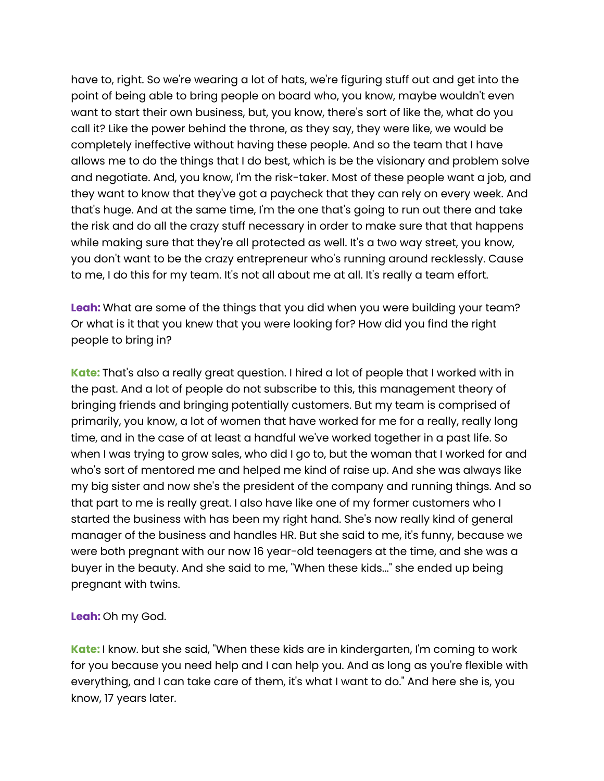have to, right. So we're wearing a lot of hats, we're figuring stuff out and get into the point of being able to bring people on board who, you know, maybe wouldn't even want to start their own business, but, you know, there's sort of like the, what do you call it? Like the power behind the throne, as they say, they were like, we would be completely ineffective without having these people. And so the team that I have allows me to do the things that I do best, which is be the visionary and problem solve and negotiate. And, you know, I'm the risk-taker. Most of these people want a job, and they want to know that they've got a paycheck that they can rely on every week. And that's huge. And at the same time, I'm the one that's going to run out there and take the risk and do all the crazy stuff necessary in order to make sure that that happens while making sure that they're all protected as well. It's a two way street, you know, you don't want to be the crazy entrepreneur who's running around recklessly. Cause to me, I do this for my team. It's not all about me at all. It's really a team effort.

**Leah:** What are some of the things that you did when you were building your team? Or what is it that you knew that you were looking for? How did you find the right people to bring in?

**Kate:** That's also a really great question. I hired a lot of people that I worked with in the past. And a lot of people do not subscribe to this, this management theory of bringing friends and bringing potentially customers. But my team is comprised of primarily, you know, a lot of women that have worked for me for a really, really long time, and in the case of at least a handful we've worked together in a past life. So when I was trying to grow sales, who did I go to, but the woman that I worked for and who's sort of mentored me and helped me kind of raise up. And she was always like my big sister and now she's the president of the company and running things. And so that part to me is really great. I also have like one of my former customers who I started the business with has been my right hand. She's now really kind of general manager of the business and handles HR. But she said to me, it's funny, because we were both pregnant with our now 16 year-old teenagers at the time, and she was a buyer in the beauty. And she said to me, "When these kids..." she ended up being pregnant with twins.

## **Leah:** Oh my God.

**Kate:** I know. but she said, "When these kids are in kindergarten, I'm coming to work for you because you need help and I can help you. And as long as you're flexible with everything, and I can take care of them, it's what I want to do." And here she is, you know, 17 years later.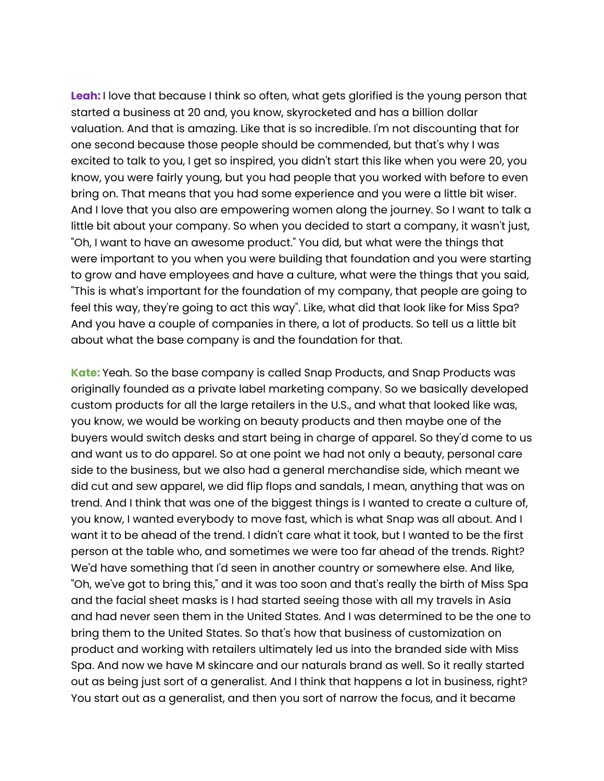**Leah:** I love that because I think so often, what gets glorified is the young person that started a business at 20 and, you know, skyrocketed and has a billion dollar valuation. And that is amazing. Like that is so incredible. I'm not discounting that for one second because those people should be commended, but that's why I was excited to talk to you, I get so inspired, you didn't start this like when you were 20, you know, you were fairly young, but you had people that you worked with before to even bring on. That means that you had some experience and you were a little bit wiser. And I love that you also are empowering women along the journey. So I want to talk a little bit about your company. So when you decided to start a company, it wasn't just, "Oh, I want to have an awesome product." You did, but what were the things that were important to you when you were building that foundation and you were starting to grow and have employees and have a culture, what were the things that you said, "This is what's important for the foundation of my company, that people are going to feel this way, they're going to act this way". Like, what did that look like for Miss Spa? And you have a couple of companies in there, a lot of products. So tell us a little bit about what the base company is and the foundation for that.

**Kate:** Yeah. So the base company is called Snap Products, and Snap Products was originally founded as a private label marketing company. So we basically developed custom products for all the large retailers in the U.S., and what that looked like was, you know, we would be working on beauty products and then maybe one of the buyers would switch desks and start being in charge of apparel. So they'd come to us and want us to do apparel. So at one point we had not only a beauty, personal care side to the business, but we also had a general merchandise side, which meant we did cut and sew apparel, we did flip flops and sandals, I mean, anything that was on trend. And I think that was one of the biggest things is I wanted to create a culture of, you know, I wanted everybody to move fast, which is what Snap was all about. And I want it to be ahead of the trend. I didn't care what it took, but I wanted to be the first person at the table who, and sometimes we were too far ahead of the trends. Right? We'd have something that I'd seen in another country or somewhere else. And like, "Oh, we've got to bring this," and it was too soon and that's really the birth of Miss Spa and the facial sheet masks is I had started seeing those with all my travels in Asia and had never seen them in the United States. And I was determined to be the one to bring them to the United States. So that's how that business of customization on product and working with retailers ultimately led us into the branded side with Miss Spa. And now we have M skincare and our naturals brand as well. So it really started out as being just sort of a generalist. And I think that happens a lot in business, right? You start out as a generalist, and then you sort of narrow the focus, and it became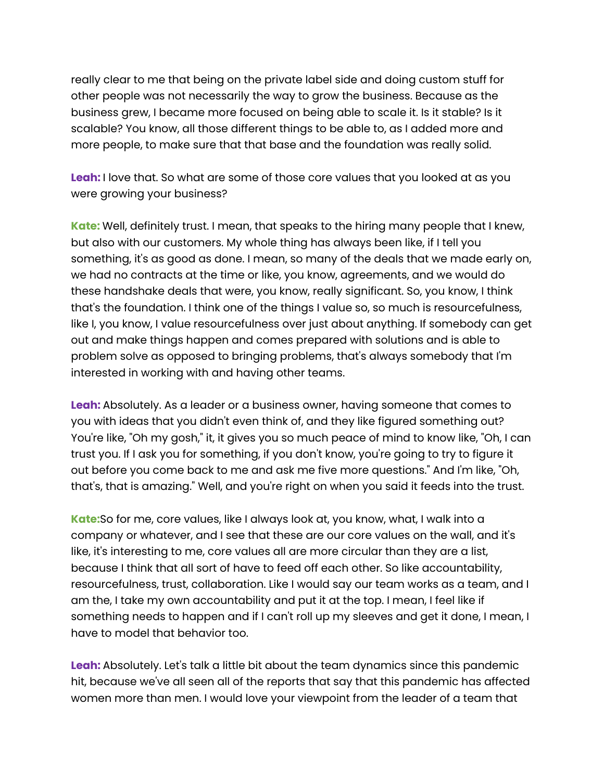really clear to me that being on the private label side and doing custom stuff for other people was not necessarily the way to grow the business. Because as the business grew, I became more focused on being able to scale it. Is it stable? Is it scalable? You know, all those different things to be able to, as I added more and more people, to make sure that that base and the foundation was really solid.

**Leah:** I love that. So what are some of those core values that you looked at as you were growing your business?

**Kate:** Well, definitely trust. I mean, that speaks to the hiring many people that I knew, but also with our customers. My whole thing has always been like, if I tell you something, it's as good as done. I mean, so many of the deals that we made early on, we had no contracts at the time or like, you know, agreements, and we would do these handshake deals that were, you know, really significant. So, you know, I think that's the foundation. I think one of the things I value so, so much is resourcefulness, like I, you know, I value resourcefulness over just about anything. If somebody can get out and make things happen and comes prepared with solutions and is able to problem solve as opposed to bringing problems, that's always somebody that I'm interested in working with and having other teams.

**Leah:** Absolutely. As a leader or a business owner, having someone that comes to you with ideas that you didn't even think of, and they like figured something out? You're like, "Oh my gosh," it, it gives you so much peace of mind to know like, "Oh, I can trust you. If I ask you for something, if you don't know, you're going to try to figure it out before you come back to me and ask me five more questions." And I'm like, "Oh, that's, that is amazing." Well, and you're right on when you said it feeds into the trust.

**Kate:**So for me, core values, like I always look at, you know, what, I walk into a company or whatever, and I see that these are our core values on the wall, and it's like, it's interesting to me, core values all are more circular than they are a list, because I think that all sort of have to feed off each other. So like accountability, resourcefulness, trust, collaboration. Like I would say our team works as a team, and I am the, I take my own accountability and put it at the top. I mean, I feel like if something needs to happen and if I can't roll up my sleeves and get it done, I mean, I have to model that behavior too.

**Leah:** Absolutely. Let's talk a little bit about the team dynamics since this pandemic hit, because we've all seen all of the reports that say that this pandemic has affected women more than men. I would love your viewpoint from the leader of a team that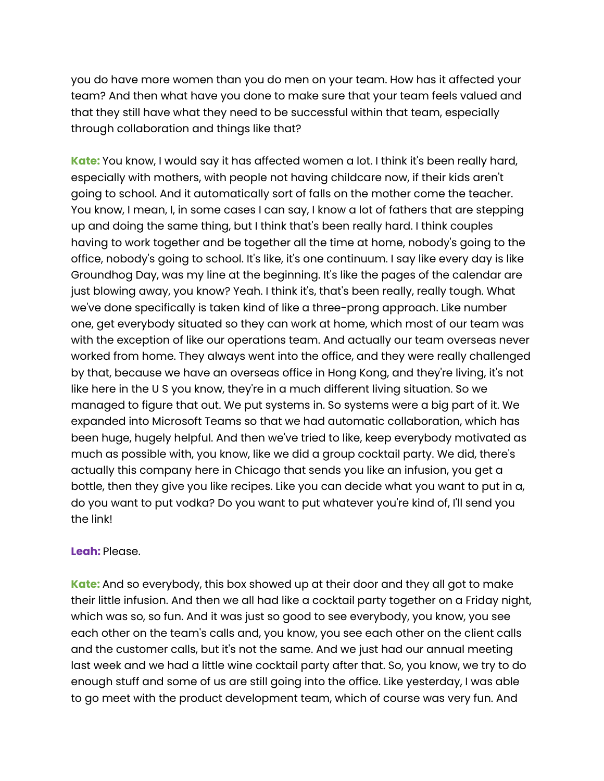you do have more women than you do men on your team. How has it affected your team? And then what have you done to make sure that your team feels valued and that they still have what they need to be successful within that team, especially through collaboration and things like that?

**Kate:** You know, I would say it has affected women a lot. I think it's been really hard, especially with mothers, with people not having childcare now, if their kids aren't going to school. And it automatically sort of falls on the mother come the teacher. You know, I mean, I, in some cases I can say, I know a lot of fathers that are stepping up and doing the same thing, but I think that's been really hard. I think couples having to work together and be together all the time at home, nobody's going to the office, nobody's going to school. It's like, it's one continuum. I say like every day is like Groundhog Day, was my line at the beginning. It's like the pages of the calendar are just blowing away, you know? Yeah. I think it's, that's been really, really tough. What we've done specifically is taken kind of like a three-prong approach. Like number one, get everybody situated so they can work at home, which most of our team was with the exception of like our operations team. And actually our team overseas never worked from home. They always went into the office, and they were really challenged by that, because we have an overseas office in Hong Kong, and they're living, it's not like here in the U S you know, they're in a much different living situation. So we managed to figure that out. We put systems in. So systems were a big part of it. We expanded into Microsoft Teams so that we had automatic collaboration, which has been huge, hugely helpful. And then we've tried to like, keep everybody motivated as much as possible with, you know, like we did a group cocktail party. We did, there's actually this company here in Chicago that sends you like an infusion, you get a bottle, then they give you like recipes. Like you can decide what you want to put in a, do you want to put vodka? Do you want to put whatever you're kind of, I'll send you the link!

## **Leah:** Please.

**Kate:** And so everybody, this box showed up at their door and they all got to make their little infusion. And then we all had like a cocktail party together on a Friday night, which was so, so fun. And it was just so good to see everybody, you know, you see each other on the team's calls and, you know, you see each other on the client calls and the customer calls, but it's not the same. And we just had our annual meeting last week and we had a little wine cocktail party after that. So, you know, we try to do enough stuff and some of us are still going into the office. Like yesterday, I was able to go meet with the product development team, which of course was very fun. And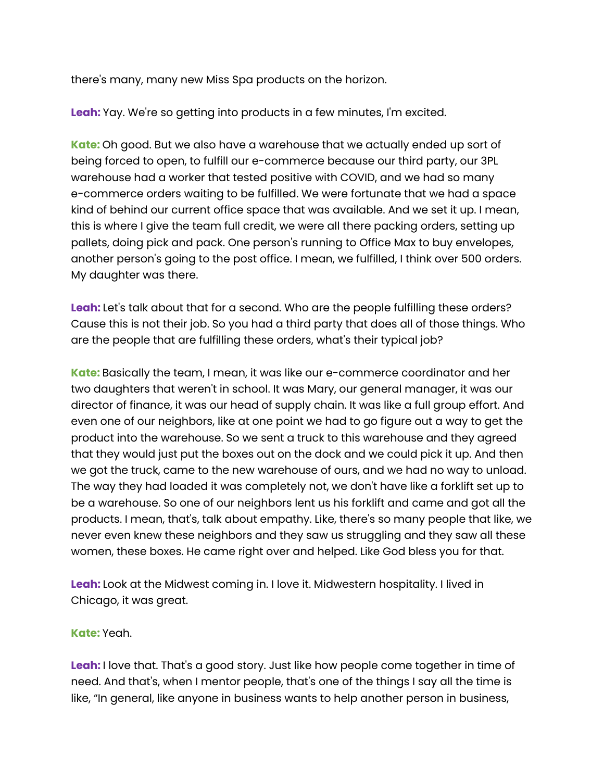there's many, many new Miss Spa products on the horizon.

**Leah:** Yay. We're so getting into products in a few minutes, I'm excited.

**Kate:** Oh good. But we also have a warehouse that we actually ended up sort of being forced to open, to fulfill our e-commerce because our third party, our 3PL warehouse had a worker that tested positive with COVID, and we had so many e-commerce orders waiting to be fulfilled. We were fortunate that we had a space kind of behind our current office space that was available. And we set it up. I mean, this is where I give the team full credit, we were all there packing orders, setting up pallets, doing pick and pack. One person's running to Office Max to buy envelopes, another person's going to the post office. I mean, we fulfilled, I think over 500 orders. My daughter was there.

**Leah:** Let's talk about that for a second. Who are the people fulfilling these orders? Cause this is not their job. So you had a third party that does all of those things. Who are the people that are fulfilling these orders, what's their typical job?

**Kate:** Basically the team, I mean, it was like our e-commerce coordinator and her two daughters that weren't in school. It was Mary, our general manager, it was our director of finance, it was our head of supply chain. It was like a full group effort. And even one of our neighbors, like at one point we had to go figure out a way to get the product into the warehouse. So we sent a truck to this warehouse and they agreed that they would just put the boxes out on the dock and we could pick it up. And then we got the truck, came to the new warehouse of ours, and we had no way to unload. The way they had loaded it was completely not, we don't have like a forklift set up to be a warehouse. So one of our neighbors lent us his forklift and came and got all the products. I mean, that's, talk about empathy. Like, there's so many people that like, we never even knew these neighbors and they saw us struggling and they saw all these women, these boxes. He came right over and helped. Like God bless you for that.

**Leah:** Look at the Midwest coming in. I love it. Midwestern hospitality. I lived in Chicago, it was great.

**Kate:** Yeah.

**Leah:** I love that. That's a good story. Just like how people come together in time of need. And that's, when I mentor people, that's one of the things I say all the time is like, "In general, like anyone in business wants to help another person in business,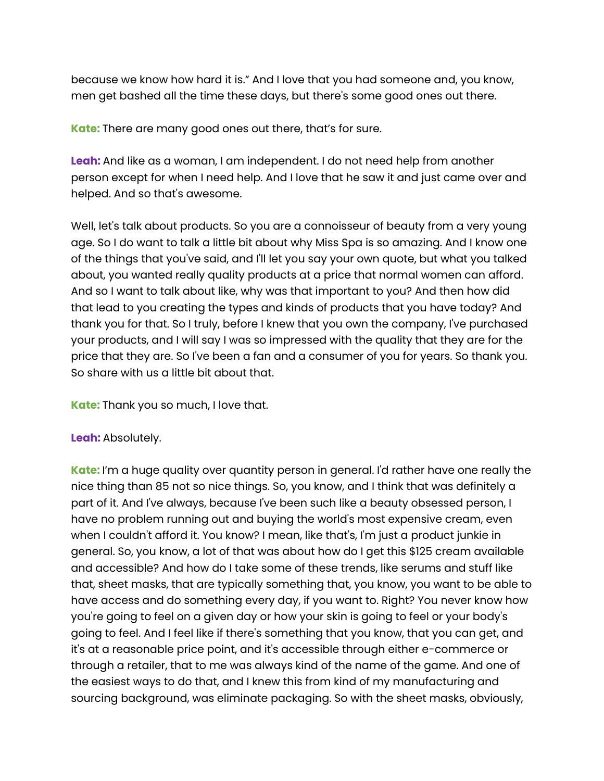because we know how hard it is." And I love that you had someone and, you know, men get bashed all the time these days, but there's some good ones out there.

**Kate:** There are many good ones out there, that's for sure.

**Leah:** And like as a woman, I am independent. I do not need help from another person except for when I need help. And I love that he saw it and just came over and helped. And so that's awesome.

Well, let's talk about products. So you are a connoisseur of beauty from a very young age. So I do want to talk a little bit about why Miss Spa is so amazing. And I know one of the things that you've said, and I'll let you say your own quote, but what you talked about, you wanted really quality products at a price that normal women can afford. And so I want to talk about like, why was that important to you? And then how did that lead to you creating the types and kinds of products that you have today? And thank you for that. So I truly, before I knew that you own the company, I've purchased your products, and I will say I was so impressed with the quality that they are for the price that they are. So I've been a fan and a consumer of you for years. So thank you. So share with us a little bit about that.

**Kate:** Thank you so much, I love that.

# **Leah:** Absolutely.

**Kate:** I'm a huge quality over quantity person in general. I'd rather have one really the nice thing than 85 not so nice things. So, you know, and I think that was definitely a part of it. And I've always, because I've been such like a beauty obsessed person, I have no problem running out and buying the world's most expensive cream, even when I couldn't afford it. You know? I mean, like that's, I'm just a product junkie in general. So, you know, a lot of that was about how do I get this \$125 cream available and accessible? And how do I take some of these trends, like serums and stuff like that, sheet masks, that are typically something that, you know, you want to be able to have access and do something every day, if you want to. Right? You never know how you're going to feel on a given day or how your skin is going to feel or your body's going to feel. And I feel like if there's something that you know, that you can get, and it's at a reasonable price point, and it's accessible through either e-commerce or through a retailer, that to me was always kind of the name of the game. And one of the easiest ways to do that, and I knew this from kind of my manufacturing and sourcing background, was eliminate packaging. So with the sheet masks, obviously,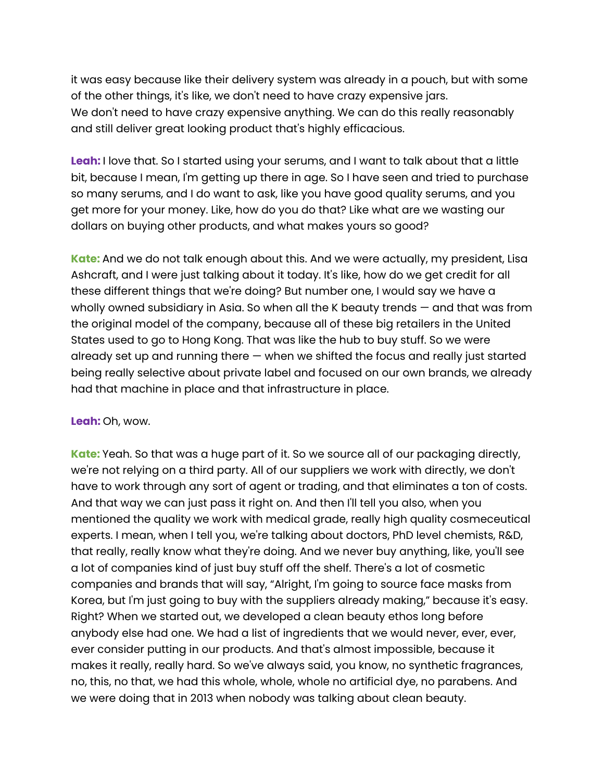it was easy because like their delivery system was already in a pouch, but with some of the other things, it's like, we don't need to have crazy expensive jars. We don't need to have crazy expensive anything. We can do this really reasonably and still deliver great looking product that's highly efficacious.

**Leah:** I love that. So I started using your serums, and I want to talk about that a little bit, because I mean, I'm getting up there in age. So I have seen and tried to purchase so many serums, and I do want to ask, like you have good quality serums, and you get more for your money. Like, how do you do that? Like what are we wasting our dollars on buying other products, and what makes yours so good?

**Kate:** And we do not talk enough about this. And we were actually, my president, Lisa Ashcraft, and I were just talking about it today. It's like, how do we get credit for all these different things that we're doing? But number one, I would say we have a wholly owned subsidiary in Asia. So when all the K beauty trends — and that was from the original model of the company, because all of these big retailers in the United States used to go to Hong Kong. That was like the hub to buy stuff. So we were already set up and running there — when we shifted the focus and really just started being really selective about private label and focused on our own brands, we already had that machine in place and that infrastructure in place.

## **Leah:** Oh, wow.

**Kate:** Yeah. So that was a huge part of it. So we source all of our packaging directly, we're not relying on a third party. All of our suppliers we work with directly, we don't have to work through any sort of agent or trading, and that eliminates a ton of costs. And that way we can just pass it right on. And then I'll tell you also, when you mentioned the quality we work with medical grade, really high quality cosmeceutical experts. I mean, when I tell you, we're talking about doctors, PhD level chemists, R&D, that really, really know what they're doing. And we never buy anything, like, you'll see a lot of companies kind of just buy stuff off the shelf. There's a lot of cosmetic companies and brands that will say, "Alright, I'm going to source face masks from Korea, but I'm just going to buy with the suppliers already making," because it's easy. Right? When we started out, we developed a clean beauty ethos long before anybody else had one. We had a list of ingredients that we would never, ever, ever, ever consider putting in our products. And that's almost impossible, because it makes it really, really hard. So we've always said, you know, no synthetic fragrances, no, this, no that, we had this whole, whole, whole no artificial dye, no parabens. And we were doing that in 2013 when nobody was talking about clean beauty.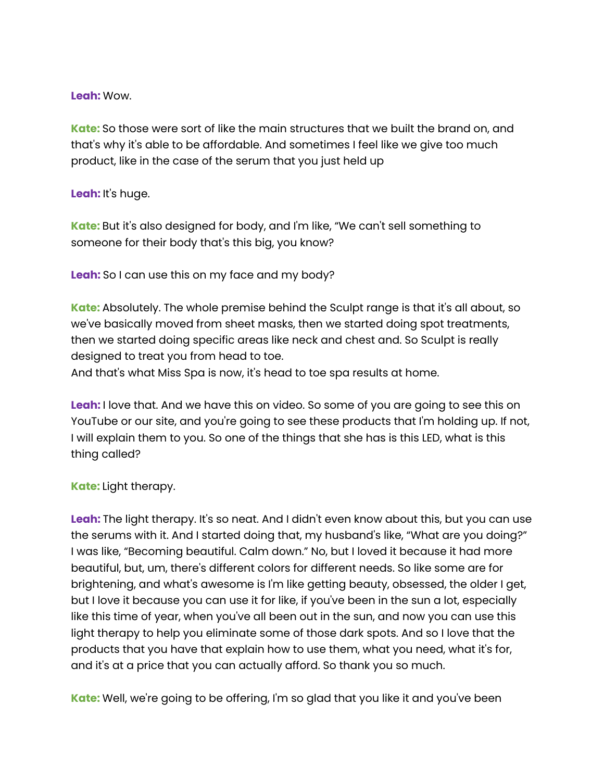## **Leah:** Wow.

**Kate:** So those were sort of like the main structures that we built the brand on, and that's why it's able to be affordable. And sometimes I feel like we give too much product, like in the case of the serum that you just held up

## **Leah:** It's huge.

**Kate:** But it's also designed for body, and I'm like, "We can't sell something to someone for their body that's this big, you know?

**Leah:** So I can use this on my face and my body?

**Kate:** Absolutely. The whole premise behind the Sculpt range is that it's all about, so we've basically moved from sheet masks, then we started doing spot treatments, then we started doing specific areas like neck and chest and. So Sculpt is really designed to treat you from head to toe.

And that's what Miss Spa is now, it's head to toe spa results at home.

**Leah:** I love that. And we have this on video. So some of you are going to see this on YouTube or our site, and you're going to see these products that I'm holding up. If not, I will explain them to you. So one of the things that she has is this LED, what is this thing called?

# **Kate:** Light therapy.

**Leah:** The light therapy. It's so neat. And I didn't even know about this, but you can use the serums with it. And I started doing that, my husband's like, "What are you doing?" I was like, "Becoming beautiful. Calm down." No, but I loved it because it had more beautiful, but, um, there's different colors for different needs. So like some are for brightening, and what's awesome is I'm like getting beauty, obsessed, the older I get, but I love it because you can use it for like, if you've been in the sun a lot, especially like this time of year, when you've all been out in the sun, and now you can use this light therapy to help you eliminate some of those dark spots. And so I love that the products that you have that explain how to use them, what you need, what it's for, and it's at a price that you can actually afford. So thank you so much.

**Kate:** Well, we're going to be offering, I'm so glad that you like it and you've been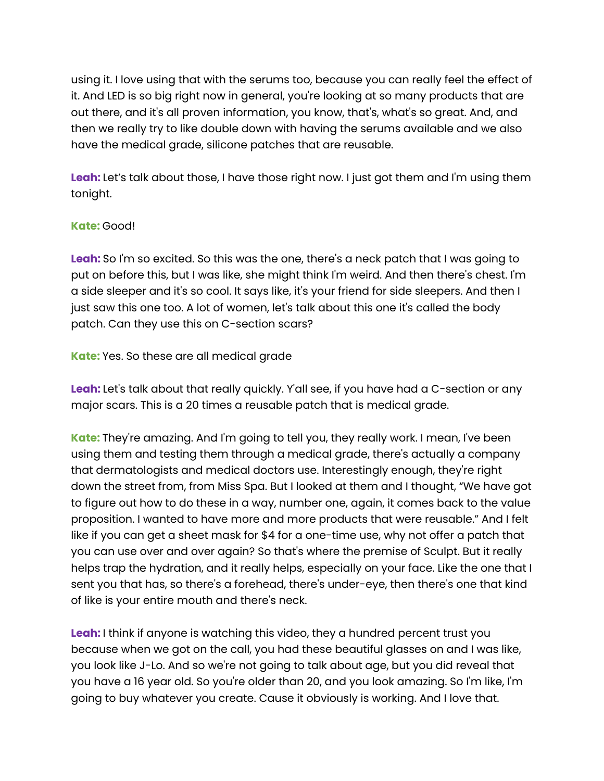using it. I love using that with the serums too, because you can really feel the effect of it. And LED is so big right now in general, you're looking at so many products that are out there, and it's all proven information, you know, that's, what's so great. And, and then we really try to like double down with having the serums available and we also have the medical grade, silicone patches that are reusable.

**Leah:** Let's talk about those, I have those right now. I just got them and I'm using them tonight.

## **Kate:** Good!

**Leah:** So I'm so excited. So this was the one, there's a neck patch that I was going to put on before this, but I was like, she might think I'm weird. And then there's chest. I'm a side sleeper and it's so cool. It says like, it's your friend for side sleepers. And then I just saw this one too. A lot of women, let's talk about this one it's called the body patch. Can they use this on C-section scars?

**Kate:** Yes. So these are all medical grade

**Leah:** Let's talk about that really quickly. Y'all see, if you have had a C-section or any major scars. This is a 20 times a reusable patch that is medical grade.

**Kate:** They're amazing. And I'm going to tell you, they really work. I mean, I've been using them and testing them through a medical grade, there's actually a company that dermatologists and medical doctors use. Interestingly enough, they're right down the street from, from Miss Spa. But I looked at them and I thought, "We have got to figure out how to do these in a way, number one, again, it comes back to the value proposition. I wanted to have more and more products that were reusable." And I felt like if you can get a sheet mask for \$4 for a one-time use, why not offer a patch that you can use over and over again? So that's where the premise of Sculpt. But it really helps trap the hydration, and it really helps, especially on your face. Like the one that I sent you that has, so there's a forehead, there's under-eye, then there's one that kind of like is your entire mouth and there's neck.

**Leah:** I think if anyone is watching this video, they a hundred percent trust you because when we got on the call, you had these beautiful glasses on and I was like, you look like J-Lo. And so we're not going to talk about age, but you did reveal that you have a 16 year old. So you're older than 20, and you look amazing. So I'm like, I'm going to buy whatever you create. Cause it obviously is working. And I love that.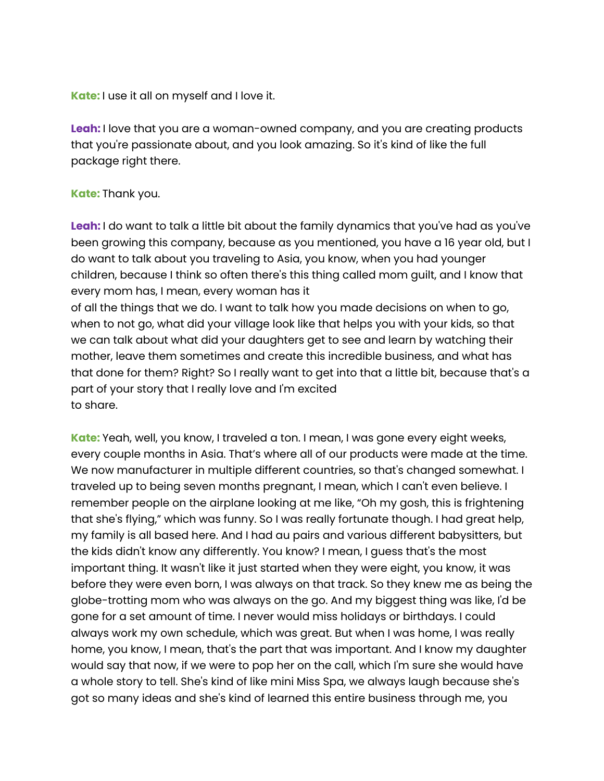**Kate:** I use it all on myself and I love it.

**Leah:** I love that you are a woman-owned company, and you are creating products that you're passionate about, and you look amazing. So it's kind of like the full package right there.

## **Kate:** Thank you.

**Leah:** I do want to talk a little bit about the family dynamics that you've had as you've been growing this company, because as you mentioned, you have a 16 year old, but I do want to talk about you traveling to Asia, you know, when you had younger children, because I think so often there's this thing called mom guilt, and I know that every mom has, I mean, every woman has it

of all the things that we do. I want to talk how you made decisions on when to go, when to not go, what did your village look like that helps you with your kids, so that we can talk about what did your daughters get to see and learn by watching their mother, leave them sometimes and create this incredible business, and what has that done for them? Right? So I really want to get into that a little bit, because that's a part of your story that I really love and I'm excited to share.

**Kate:** Yeah, well, you know, I traveled a ton. I mean, I was gone every eight weeks, every couple months in Asia. That's where all of our products were made at the time. We now manufacturer in multiple different countries, so that's changed somewhat. I traveled up to being seven months pregnant, I mean, which I can't even believe. I remember people on the airplane looking at me like, "Oh my gosh, this is frightening that she's flying," which was funny. So I was really fortunate though. I had great help, my family is all based here. And I had au pairs and various different babysitters, but the kids didn't know any differently. You know? I mean, I guess that's the most important thing. It wasn't like it just started when they were eight, you know, it was before they were even born, I was always on that track. So they knew me as being the globe-trotting mom who was always on the go. And my biggest thing was like, I'd be gone for a set amount of time. I never would miss holidays or birthdays. I could always work my own schedule, which was great. But when I was home, I was really home, you know, I mean, that's the part that was important. And I know my daughter would say that now, if we were to pop her on the call, which I'm sure she would have a whole story to tell. She's kind of like mini Miss Spa, we always laugh because she's got so many ideas and she's kind of learned this entire business through me, you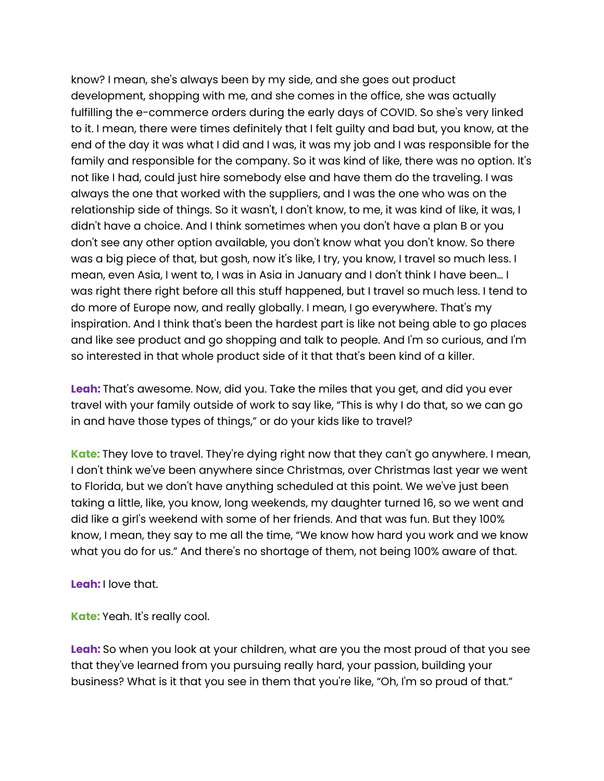know? I mean, she's always been by my side, and she goes out product development, shopping with me, and she comes in the office, she was actually fulfilling the e-commerce orders during the early days of COVID. So she's very linked to it. I mean, there were times definitely that I felt guilty and bad but, you know, at the end of the day it was what I did and I was, it was my job and I was responsible for the family and responsible for the company. So it was kind of like, there was no option. It's not like I had, could just hire somebody else and have them do the traveling. I was always the one that worked with the suppliers, and I was the one who was on the relationship side of things. So it wasn't, I don't know, to me, it was kind of like, it was, I didn't have a choice. And I think sometimes when you don't have a plan B or you don't see any other option available, you don't know what you don't know. So there was a big piece of that, but gosh, now it's like, I try, you know, I travel so much less. I mean, even Asia, I went to, I was in Asia in January and I don't think I have been… I was right there right before all this stuff happened, but I travel so much less. I tend to do more of Europe now, and really globally. I mean, I go everywhere. That's my inspiration. And I think that's been the hardest part is like not being able to go places and like see product and go shopping and talk to people. And I'm so curious, and I'm so interested in that whole product side of it that that's been kind of a killer.

**Leah:** That's awesome. Now, did you. Take the miles that you get, and did you ever travel with your family outside of work to say like, "This is why I do that, so we can go in and have those types of things," or do your kids like to travel?

**Kate:** They love to travel. They're dying right now that they can't go anywhere. I mean, I don't think we've been anywhere since Christmas, over Christmas last year we went to Florida, but we don't have anything scheduled at this point. We we've just been taking a little, like, you know, long weekends, my daughter turned 16, so we went and did like a girl's weekend with some of her friends. And that was fun. But they 100% know, I mean, they say to me all the time, "We know how hard you work and we know what you do for us." And there's no shortage of them, not being 100% aware of that.

**Leah:** I love that.

**Kate:** Yeah. It's really cool.

**Leah:** So when you look at your children, what are you the most proud of that you see that they've learned from you pursuing really hard, your passion, building your business? What is it that you see in them that you're like, "Oh, I'm so proud of that."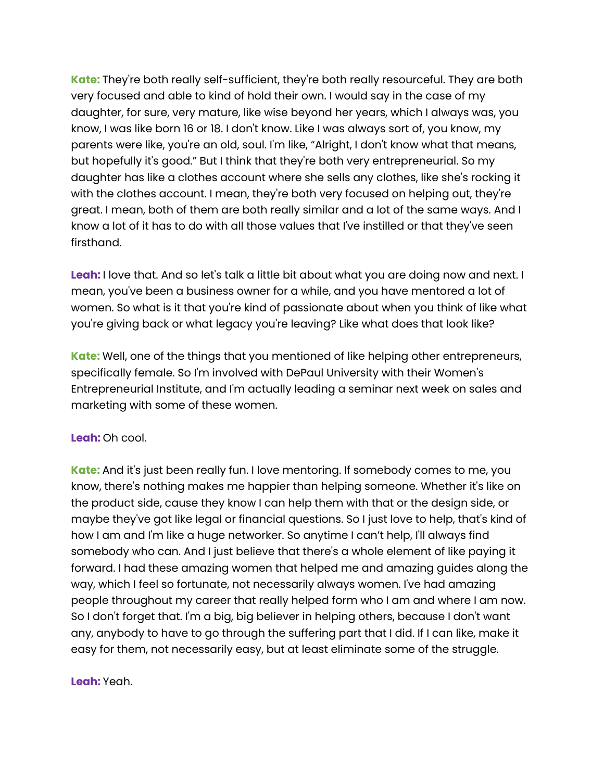**Kate:** They're both really self-sufficient, they're both really resourceful. They are both very focused and able to kind of hold their own. I would say in the case of my daughter, for sure, very mature, like wise beyond her years, which I always was, you know, I was like born 16 or 18. I don't know. Like I was always sort of, you know, my parents were like, you're an old, soul. I'm like, "Alright, I don't know what that means, but hopefully it's good." But I think that they're both very entrepreneurial. So my daughter has like a clothes account where she sells any clothes, like she's rocking it with the clothes account. I mean, they're both very focused on helping out, they're great. I mean, both of them are both really similar and a lot of the same ways. And I know a lot of it has to do with all those values that I've instilled or that they've seen firsthand.

**Leah:** I love that. And so let's talk a little bit about what you are doing now and next. I mean, you've been a business owner for a while, and you have mentored a lot of women. So what is it that you're kind of passionate about when you think of like what you're giving back or what legacy you're leaving? Like what does that look like?

**Kate:** Well, one of the things that you mentioned of like helping other entrepreneurs, specifically female. So I'm involved with DePaul University with their Women's Entrepreneurial Institute, and I'm actually leading a seminar next week on sales and marketing with some of these women.

## **Leah:** Oh cool.

**Kate:** And it's just been really fun. I love mentoring. If somebody comes to me, you know, there's nothing makes me happier than helping someone. Whether it's like on the product side, cause they know I can help them with that or the design side, or maybe they've got like legal or financial questions. So I just love to help, that's kind of how I am and I'm like a huge networker. So anytime I can't help, I'll always find somebody who can. And I just believe that there's a whole element of like paying it forward. I had these amazing women that helped me and amazing guides along the way, which I feel so fortunate, not necessarily always women. I've had amazing people throughout my career that really helped form who I am and where I am now. So I don't forget that. I'm a big, big believer in helping others, because I don't want any, anybody to have to go through the suffering part that I did. If I can like, make it easy for them, not necessarily easy, but at least eliminate some of the struggle.

## **Leah:** Yeah.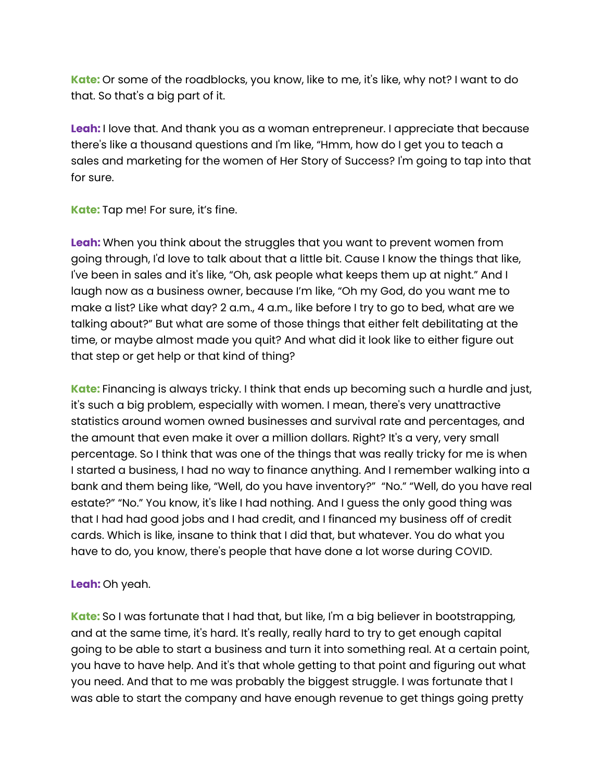**Kate:** Or some of the roadblocks, you know, like to me, it's like, why not? I want to do that. So that's a big part of it.

**Leah:** I love that. And thank you as a woman entrepreneur. I appreciate that because there's like a thousand questions and I'm like, "Hmm, how do I get you to teach a sales and marketing for the women of Her Story of Success? I'm going to tap into that for sure.

**Kate:** Tap me! For sure, it's fine.

**Leah:** When you think about the struggles that you want to prevent women from going through, I'd love to talk about that a little bit. Cause I know the things that like, I've been in sales and it's like, "Oh, ask people what keeps them up at night." And I laugh now as a business owner, because I'm like, "Oh my God, do you want me to make a list? Like what day? 2 a.m., 4 a.m., like before I try to go to bed, what are we talking about?" But what are some of those things that either felt debilitating at the time, or maybe almost made you quit? And what did it look like to either figure out that step or get help or that kind of thing?

**Kate:** Financing is always tricky. I think that ends up becoming such a hurdle and just, it's such a big problem, especially with women. I mean, there's very unattractive statistics around women owned businesses and survival rate and percentages, and the amount that even make it over a million dollars. Right? It's a very, very small percentage. So I think that was one of the things that was really tricky for me is when I started a business, I had no way to finance anything. And I remember walking into a bank and them being like, "Well, do you have inventory?" "No." "Well, do you have real estate?" "No." You know, it's like I had nothing. And I guess the only good thing was that I had had good jobs and I had credit, and I financed my business off of credit cards. Which is like, insane to think that I did that, but whatever. You do what you have to do, you know, there's people that have done a lot worse during COVID.

## **Leah:** Oh yeah.

**Kate:** So I was fortunate that I had that, but like, I'm a big believer in bootstrapping, and at the same time, it's hard. It's really, really hard to try to get enough capital going to be able to start a business and turn it into something real. At a certain point, you have to have help. And it's that whole getting to that point and figuring out what you need. And that to me was probably the biggest struggle. I was fortunate that I was able to start the company and have enough revenue to get things going pretty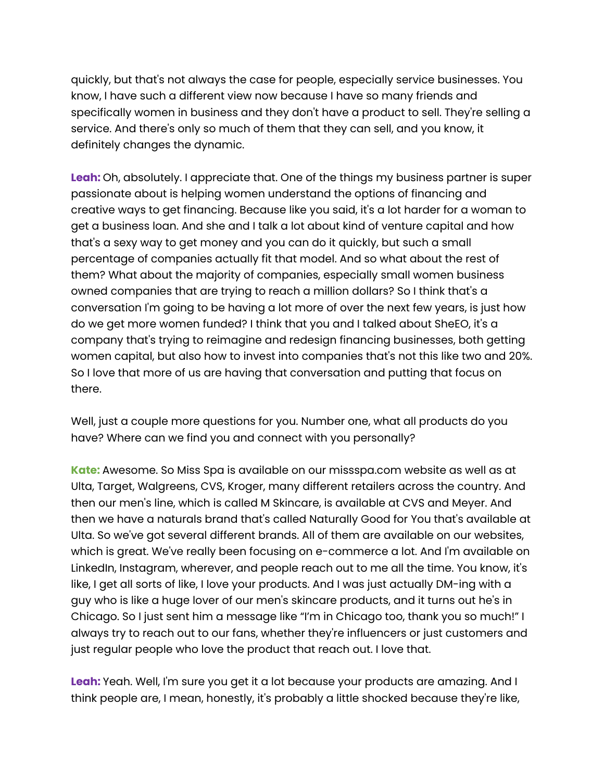quickly, but that's not always the case for people, especially service businesses. You know, I have such a different view now because I have so many friends and specifically women in business and they don't have a product to sell. They're selling a service. And there's only so much of them that they can sell, and you know, it definitely changes the dynamic.

**Leah:** Oh, absolutely. I appreciate that. One of the things my business partner is super passionate about is helping women understand the options of financing and creative ways to get financing. Because like you said, it's a lot harder for a woman to get a business loan. And she and I talk a lot about kind of venture capital and how that's a sexy way to get money and you can do it quickly, but such a small percentage of companies actually fit that model. And so what about the rest of them? What about the majority of companies, especially small women business owned companies that are trying to reach a million dollars? So I think that's a conversation I'm going to be having a lot more of over the next few years, is just how do we get more women funded? I think that you and I talked about SheEO, it's a company that's trying to reimagine and redesign financing businesses, both getting women capital, but also how to invest into companies that's not this like two and 20%. So I love that more of us are having that conversation and putting that focus on there.

Well, just a couple more questions for you. Number one, what all products do you have? Where can we find you and connect with you personally?

**Kate:** Awesome. So Miss Spa is available on our missspa.com website as well as at Ulta, Target, Walgreens, CVS, Kroger, many different retailers across the country. And then our men's line, which is called M Skincare, is available at CVS and Meyer. And then we have a naturals brand that's called Naturally Good for You that's available at Ulta. So we've got several different brands. All of them are available on our websites, which is great. We've really been focusing on e-commerce a lot. And I'm available on LinkedIn, Instagram, wherever, and people reach out to me all the time. You know, it's like, I get all sorts of like, I love your products. And I was just actually DM-ing with a guy who is like a huge lover of our men's skincare products, and it turns out he's in Chicago. So I just sent him a message like "I'm in Chicago too, thank you so much!" I always try to reach out to our fans, whether they're influencers or just customers and just regular people who love the product that reach out. I love that.

**Leah:** Yeah. Well, I'm sure you get it a lot because your products are amazing. And I think people are, I mean, honestly, it's probably a little shocked because they're like,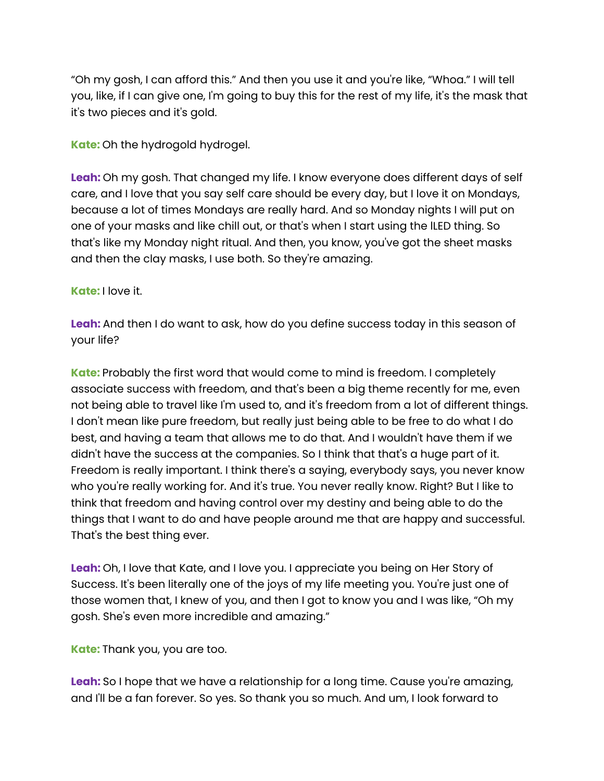"Oh my gosh, I can afford this." And then you use it and you're like, "Whoa." I will tell you, like, if I can give one, I'm going to buy this for the rest of my life, it's the mask that it's two pieces and it's gold.

**Kate:** Oh the hydrogold hydrogel.

**Leah:** Oh my gosh. That changed my life. I know everyone does different days of self care, and I love that you say self care should be every day, but I love it on Mondays, because a lot of times Mondays are really hard. And so Monday nights I will put on one of your masks and like chill out, or that's when I start using the lLED thing. So that's like my Monday night ritual. And then, you know, you've got the sheet masks and then the clay masks, I use both. So they're amazing.

## **Kate:** I love it.

**Leah:** And then I do want to ask, how do you define success today in this season of your life?

**Kate:** Probably the first word that would come to mind is freedom. I completely associate success with freedom, and that's been a big theme recently for me, even not being able to travel like I'm used to, and it's freedom from a lot of different things. I don't mean like pure freedom, but really just being able to be free to do what I do best, and having a team that allows me to do that. And I wouldn't have them if we didn't have the success at the companies. So I think that that's a huge part of it. Freedom is really important. I think there's a saying, everybody says, you never know who you're really working for. And it's true. You never really know. Right? But I like to think that freedom and having control over my destiny and being able to do the things that I want to do and have people around me that are happy and successful. That's the best thing ever.

**Leah:** Oh, I love that Kate, and I love you. I appreciate you being on Her Story of Success. It's been literally one of the joys of my life meeting you. You're just one of those women that, I knew of you, and then I got to know you and I was like, "Oh my gosh. She's even more incredible and amazing."

**Kate:** Thank you, you are too.

**Leah:** So I hope that we have a relationship for a long time. Cause you're amazing, and I'll be a fan forever. So yes. So thank you so much. And um, I look forward to